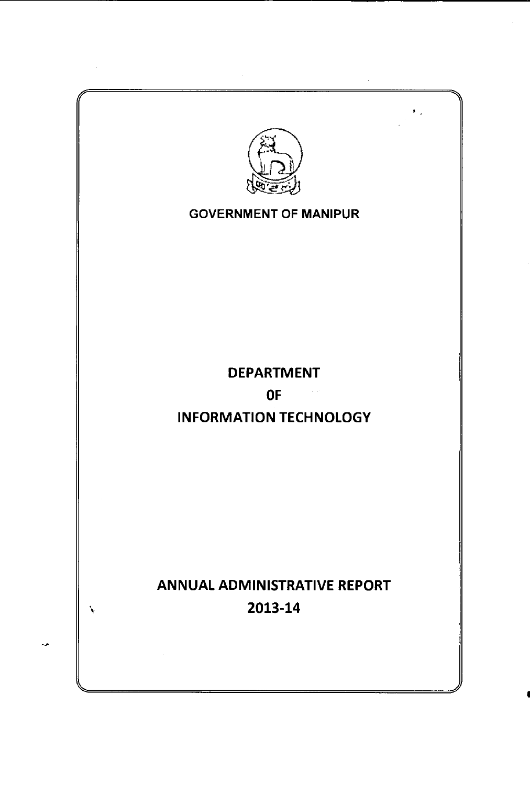



•

جيء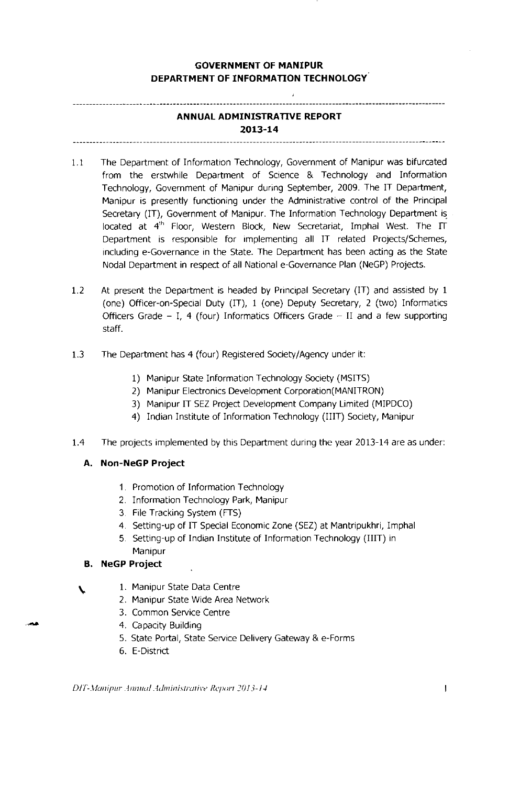•

# **GOVERNMENT OF MANIPUR DEPARTMENT OF INFORMATION TECHNOLOGY**

;

**----------------------------------------------------------------------------------------------------------------**

# **ANNUAL ADMINISTRATIVE REPORT 2013-14**

**----------------------------------------------------------------------------------------------------------------**

- 1.1 The Department of Information Technology, Government of Manipur was bifurcated from the erstwhile Department of SCience & Technology and Information Technology, Government of Manipur during September, 2009. The IT Department, Manipur is presently functioning under the Administrative control of the Principal Secretary (IT), Government of Manipur. The Information Technology Department is located at  $4<sup>th</sup>$  Floor, Western Block, New Secretariat, Imphal West. The  $\Pi$ Department is responsible for implementing all IT related Projects/Schemes, Including e-Governance in the State. The Department has been acting as the State Nodal Department in respect of all National e-Governance Plan (NeGP) Projects.
- 1.2 At present the Department is headed by Principal Secretary (IT) and assisted by 1 (one) Officer-on-SpeCial Duty (IT), 1 (one) Deputy Secretary, 2 (two) Informatics Officers Grade  $-$  I, 4 (four) Informatics Officers Grade  $-$  II and a few supporting staff.
- 1.3 The Department has 4 (four) Registered Society/Agency under it:
	- 1) Manipur State Information Technology Society (MSITS)
	- 2) Manipur Electronics Development Corporation(MANITRON)
	- 3) Manipur IT SEZ Project Development Company Limited (MIPDCO)
	- 4) Indian Institute of Information Technology (IIIT) Society, Manipur
- 1.4 The projects implemented by this Department during the year 2013-14 are as under:

# **A. Non-NeGP Project**

- 1. Promotion of Information Technology
- 2. Information Technology Park, Manipur
- 3. File Tracking System (FTS)
- 4. Setting-up of IT Special Economic Zone (SEZ) at Mantripukhri, Imphal
- 5. Setting-up of Indian Institute of Information Technology (IIIT) in Manipur
- **B. NeGP Project**

 $\sim$  -  $\sim$  -  $\sim$ 

- \. 1. Manipur State Data Centre
- 2. Manipur State Wide Area Network
- 3. Common Service Centre
- 4. Capacity Building
- 5. State Portal, State Service Delivery Gateway & e-Forms
- 6. E-District

*DIT-Manipur Annual Administrative Report 2013-14*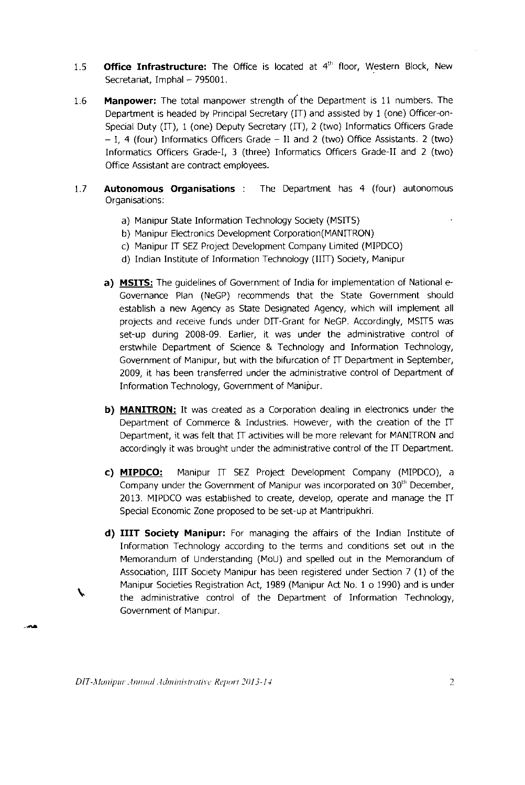- **b) MANITRON:** It was created as a Corporation dealing in electronics under the Department of Commerce & Industries. However, with the creation of the IT Department, it was felt that IT activities will be more relevant for MANITRON and accordingly it was brought under the administrative control of the  $\Pi$  Department.
- **c) MIPDCO:** Manipur IT SEZ Project Development Company (MIPDCO), a Company under the Government of Manipur was incorporated on  $30<sup>th</sup>$  December, 2013. MIPDCO was established to create, develop, operate and manage the IT Special Economic Zone proposed to be set-up at Mantripukhri.
- **d) lIlT Society Manipur:** For managing the affairs of the Indian Institute of Information Technology according to the terms and conditions set out in the Memorandum of Understanding (MoU) and spelled out in the Memorandum of ASSOCiation, IIIT SOCiety Manipur has been registered under Section 7 (1) of the

Manipur Societies Registration Act, 1989 (Manipur Act No.1 0 1990) and is under the administrative control of the Department of Information Technology, Government of Manipur.

- l.S **Office Infrastructure:** The Office is located at 4'" floor, Western Block, New Secretariat, Imphal  $-795001$ . •
- 1.6 **Manpower:** The total manpower strength of the Department is 11 numbers. The Department is headed by Principal Secretary (IT) and assisted by 1 (one) Officer-on-Special Duty (IT), 1 (one) Deputy Secretary (IT), 2 (two) Informatics Officers Grade - I, 4 (four) Informatics Officers Grade - II and 2 (two) Office Assistants. 2 (two) Informatics Officers Grade-I, 3 (three) Informatics Officers Grade-II and 2 (two) Office Assistant are contract employees.
- 1. 7 **Autonomous Organisations:** The Department has 4 (four) autonomous Organisations:
	- a) Manipur State Information Technology Society (MSITS) •
	- b) Manipur Electronics Development Corporation(MANITRON)
	- c) Manipur IT SEZ Project Development Company Limited (MIPDCO)
	- d) Indian Institute of Information Technology (IIIT) Society, Manipur
	- **a) MSITS:** The guidelines of Government of India for implementation of National e-

Governance Plan (NeGP) recommends that the State Government should establish a new Agency as State Designated Agency, which will implement all projects and receive funds under DIT-Grant for NeGP. Accordingly, MSITS was set-up during 2008-09. Earlier, it was under the administrative control of erstwhile Department of Science & Technology and Information Technology, Government of Manipur, but with the bifurcation of IT Department in September, 2009, it has been transferred under the administrative control of Department of Information Technology, Government of Manipur.

**D IT-I\!on** *i* **pll r . -111I1/Iu/ . -l dm in is** *trmhe* **RCf WI'/ ]() I 3** -J *.J* 

فليجزر

 $\overline{c}$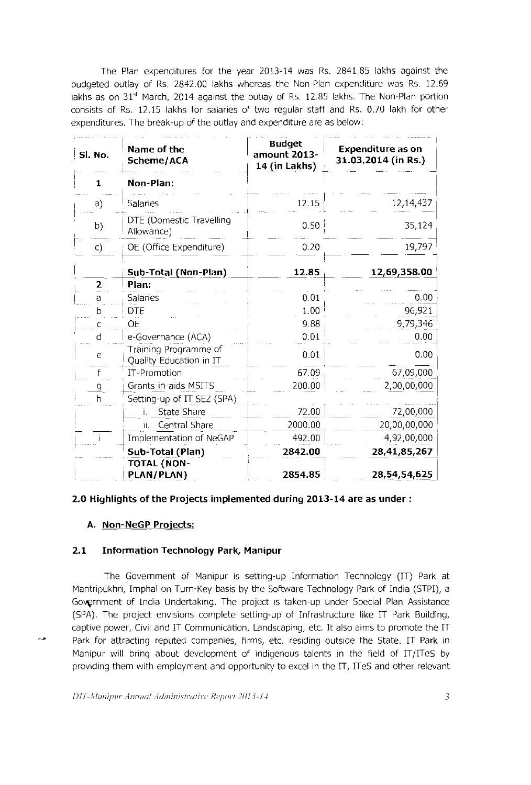The Plan expenditures for the year 2013-14 was Rs. 2841.85 lakhs against the budgeted outlay of Rs. 2842.00 lakhs whereas the Non-Plan expenditure was Rs. 12.69 lakhs as on  $31<sup>st</sup>$  March, 2014 against the outlay of Rs. 12.85 lakhs. The Non-Plan portion consists of Rs. 12.15 lakhs for salaries of two regular staff and Rs. 0.70 lakh for other expenditures. The break-up of the outlay and expenditure are as below:

Mantripukhri, Imphal on Turn-Key basis by the Software Technology Park of India (STPI), a Government of India Undertaking. The project is taken-up under Special Plan Assistance (SPA). The project envisions complete setting-up of Infrastructure like IT Park Building, captive power, Civil and IT Communication, Landscaping, etc. It also aims to promote the IT Park for attracting reputed companies, firms, etc. residing outside the State. IT Park in Manipur will bring about development of indigenous talents in the field of IT/ITeS by providing them with employment and opportunity to excel in the IT, ITeS and other relevant

*DIT-Manipur Annual Administrative Report 2013-14* 3

| Sl. No.       | Name of the<br>Scheme/ACA                        | <b>Budget</b><br>amount 2013-<br>14 (in Lakhs) | <b>Expenditure as on</b><br>31.03.2014 (in Rs.) |
|---------------|--------------------------------------------------|------------------------------------------------|-------------------------------------------------|
|               | Non-Plan:                                        |                                                |                                                 |
| a)            | <b>Salaries</b>                                  | 12.15                                          | 12, 14, 437                                     |
| $\mathsf{b}$  | DTE (Domestic Travelling<br>Allowance)           | 0.50                                           | 35,124                                          |
| $\mathsf{C})$ | OE (Office Expenditure)                          | 0.20                                           | 19,797                                          |
|               | Sub-Total (Non-Plan)                             | 12.85                                          | 12,69,358.00                                    |
|               | Plan:                                            |                                                |                                                 |
|               | <b>Salaries</b>                                  | 0.01                                           | 0.00                                            |
|               | DTE.                                             | 1.00                                           | 96,921                                          |
|               | ОE                                               | 9.88                                           | 9,79,346                                        |
|               | e-Governance (ACA)                               | 0.01                                           | 0.00                                            |
| e             | Training Programme of<br>Quality Education in IT | 0.01                                           | 0.00                                            |
|               | <b>IT-Promotion</b>                              | 67.09                                          | 67,09,000                                       |
|               | Grants-in-aids MSITS                             | 200.00                                         | 2,00,00,000                                     |
|               | Setting-up of IT SEZ (SPA)                       |                                                |                                                 |
|               | State Share                                      | 72.00                                          | 72,00,000                                       |
|               | ii. Central Share                                | 2000.00                                        | 20,00,00,000                                    |
|               | Implementation of NeGAP                          | 492.00                                         | 4,92,00,000                                     |
|               | Sub-Total (Plan)                                 | 2842.00                                        | 28,41,85,267                                    |
|               | <b>TOTAL (NON-</b><br>PLAN/PLAN)                 | 2854.85                                        | 28,54,54,625                                    |

**2.0 Highlights of the Projects implemented during 2013-14 are as under:** 

# **A. Non-NeGP Projects:**

بالمهاجر

# **2.1 Information Technology Park, Manipur**

The Government of Manipur is setting-up Information Technology (IT) Park at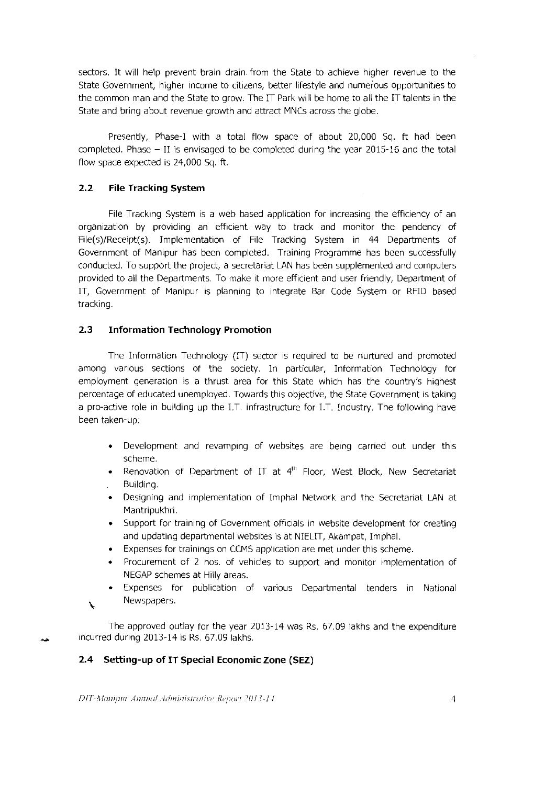sectors. It will help prevent brain drain. from the State to achieve higher revenue to the State Government, higher income to citizens, better lifestyle and numerous opportunities to the common man and the State to grow. The IT Park will be home to all the IT talents in the State and bring about revenue growth and attract MNCs across the globe.

Presently, Phase-I with a total flow space of about 20,000 Sq. ft had been completed. Phase  $-11$  is envisaged to be completed during the year 2015-16 and the total flow space expected is 24,000 Sq. ft.

#### **2.2 File Tracking System**

File Tracking System is a web based application for increasing the efficiency of an organization by providing an efficient way to track and monitor the pendency of File(s)/Receipt(s). Implementation of File Tracking System in 44 Departments of Government of Manipur has been completed. Training Programme has been successfully conducted. To support the project, a secretariat LAN has been supplemented and computers provided to all the Departments. To make it more efficient and user friendly, Department of IT, Government of Manipur is planning to integrate Bar Code System or RFID based tracking.

# **2.3 Information Technology Promotion**

The Information Technology (IT) sector is required to be nurtured and promoted among various sections of the society. In particular, Information Technology for employment generation is a thrust area for this State which has the country's highest percentage of educated unemployed. Towards this objective, the State Government is taking a pro-active role in building up the LT. infrastructure for LT. Industry. The following have been taken-up:

- Development and revamping of websites are being carried out under this scheme.
- Renovation of Department of  $\Pi$  at 4<sup>th</sup> Floor, West Block, New Secretariat Building.
- Designing and implementation of Imphal Network and the Secretariat LAN at Mantripukhri.
- Support for training of Government officials in website development for creating and updating departmental websites is at NIELIT, Akampat, Imphal.
- Expenses for trainings on CCMS application are met under this scheme.
- Procurement of 2 nos. of vehicles to support and monitor implementation of NEGAP schemes at Hilly areas.
- Expenses for publication of various Departmental tenders in National Newspapers.

The approved outlay for the year 2013-14 was Rs. 67.09 lakhs and the expenditure incurred during 2013-14 is Rs. 67.09 lakhs.

# **2.4 Setting-up of IT Special Economic Zone (SEZ)**

**DIT-Manipur Annual Administrative Report 2013-14** *A* 

 $\mathbf{v}$ 

والمستخر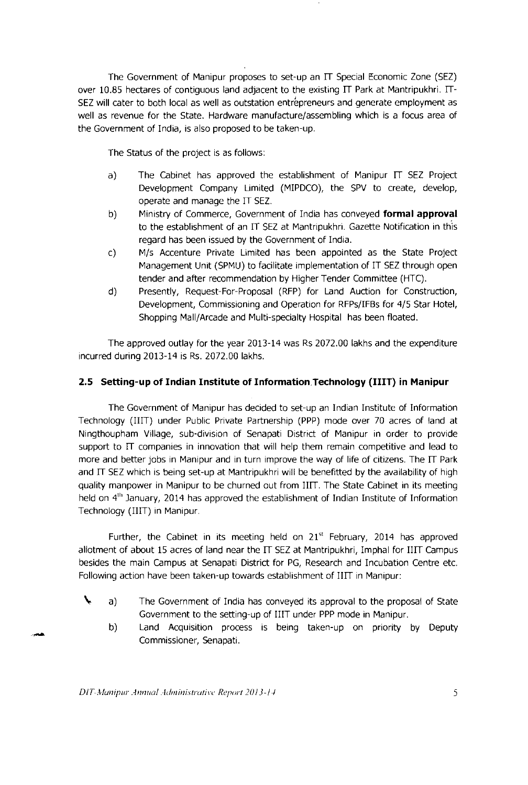The Government of Manipur proposes to set-up an  $\Pi$  Special Economic Zone (SEZ) over 10.85 hectares of contiguous land adjacent to the existing  $\Pi$  Park at Mantripukhri.  $\Pi$ -SEZ will cater to both local as well as outstation entrepreneurs and generate employment as well as revenue for the State. Hardware manufacture/assembling which is a focus area of the Government of India, is also proposed to be taken-up.

The Status of the project is as follows:

- a) The Cabinet has approved the establishment of Manipur  $\Pi$  SEZ Project Development Company Limited (MIPDCO), the SPV to create, develop, operate and manage the IT SEZ.
- b) Ministry of Commerce, Government of India has conveyed **formal approval**  • to the establishment of an IT SEZ at Mantripukhri. Gazette Notification in this regard has been issued by the Government of India.
- c) M/s Accenture Private Limited has been appointed as the State Project Management Unit (SPMU) to facilitate implementation of IT SEZ through open tender and after recommendation by Higher Tender Committee (HTC).
- d) Presently, Request-For-Proposal (RFP) for Land Auction for Construction, Development, Commissioning and Operation for RFPs/IFBs for 4/5 Star Hotel, Shopping Mall/Arcade and Multi-specialty Hospital has been floated.

The approved outlay for the year 2013-14 was Rs 2072.00 lakhs and the expenditure incurred during 2013-14 is Rs. 2072.00 lakhs.

#### **2.5 Setting-up of Indian Institute of Information.Technology (lIlT) in Manipur**

The Government of Manipur has decided to set-up an Indian Institute of Information Technology (IIIT) under Public Private Partnership (PPP) mode over 70 acres of land at Ningthoupham Village, sub-division of Senapati District of Manipur in order to provide support to IT companies in innovation that will help them remain competitive and lead to more and better jobs in Manipur and in turn improve the way of life of citizens. The IT Park and IT SEZ which is being set-up at Mantripukhri will be benefitted by the availability of high quality manpower in Manipur to be churned out from IIIT. The State cabinet in its meeting held on 4'" January, 2014 has approved the establishment of Indian Institute of Information Technology (IIIT) in Manipur.

Further, the Cabinet in its meeting held on  $21<sup>st</sup>$  February, 2014 has approved allotment of about 15 acres of land near the  $\Pi$  SEZ at Mantripukhri, Imphal for II $\Pi$  Campus besides the main campus at Senapati District for PG, Research and Incubation Centre etc. Following action have been taken-up towards establishment of IIIT in Manipur:

- a) The Government of India has conveyed its approval to the proposal of State Government to the setting-up of IIIT under PPP mode in Manipur.
	- b) Land Acquisition process is being taken-up on priority by Deputy Commissioner, Senapati.

*DIT-Manipur .4nnual .4dministrative Report 2013-14* [5] 5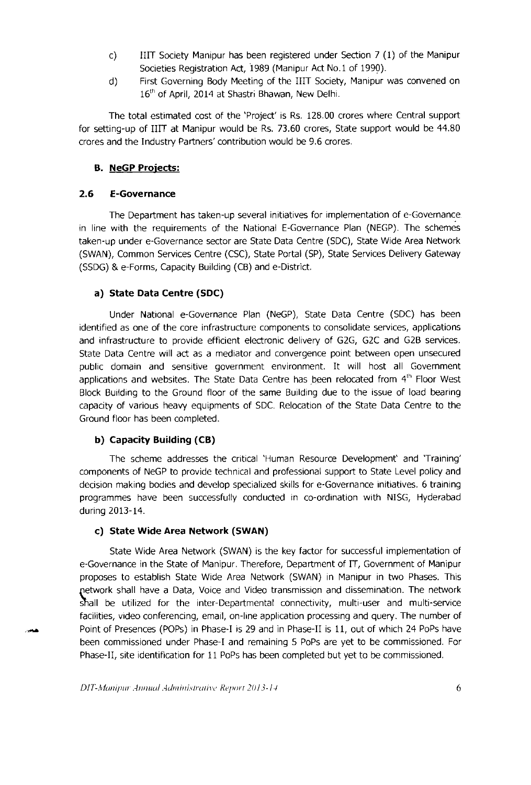- c) IIIT Society Manipur has been registered under Section 7 (1) of the Manipur Societies Registration Act, 1989 (Manipur Act No.1 of 1999)·
- d) First Governing Body Meeting of the IIIT Society, Manipur was convened on  $16<sup>th</sup>$  of April, 2014 at Shastri Bhawan, New Delhi.

The total estimated cost of the 'Project' is Rs. 128.00 crores where Central support for setting-up of IIIT at Manipur would be Rs. 73.60 crores, State support would be 44.80 crores and the Industry Partners' contribution would be 9.6 crores.

## B. NeGP Projects:

## 2.6 E-Governance

The Department has taken-up several initiatives for implementation of e-Governance • in line with the requirements of the National E-Governance Plan (NEGP). The schemes taken-up under e-Governance sector are State Data Centre (SDC), State Wide Area Network (SWAN), Common Services Centre (CSC), State Portal (SP), State Services Delivery Gateway (SSDG) & e-Forms, Capacity Building (CB) and e-District.

#### a) State Data Centre (SOC)

Under National e-Governance Plan (NeGP), State Data Centre (SDC) has been identified as one of the core infrastructure components to consolidate services, applications and infrastructure to provide efficient electronic delivery of G2G, G2C and G2B services. State Data Centre will act as a mediator and convergence point between open unsecured public domain and sensitive government environment. It will host all Government applications and websites. The State Data Centre has been relocated from 4<sup>th</sup> Floor West Block Building to the Ground floor of the same Building due to the issue of load bearing capacity of various heavy equipments of SDC. Relocation of the State Data Centre to the Ground floor has been completed.

### b) Capacity Building (CB)

The scheme addresses the critical 'Human Resource Development' and 'Training' components of NeGP to provide technical and professional support to State Level policy and decision making bodies and develop specialized skills for e-Governance initiatives. 6 training programmes have been successfully conducted in co-ordination with NISG, Hyderabad during 2013-14.

## c) State Wide Area Network (SWAN)

State Wide Area Network (SWAN) is the key factor for successful implementation of e-Governance in the State of Manipur. Therefore, Department of IT, Government of Manipur proposes to establish State Wide Area Network (SWAN) in Manipur in two Phases. This

{letwork shall have a Data, Voice and Video transmission and dissemination. The network shall be utilized for the inter-Departmental connectivity, multi-user and multi-service facilities, video conferencing, email, on-line application processing and query. The number of ,... Point of Presences (POPs) in Phase-I is 29 and in Phase-II is 11, out of which 24 PoPs have been commissioned under Phase-I and remaining 5 PoPs are yet to be commissioned. For Phase-II, site identification for 11 PoPs has been completed but yet to be commissioned.

*DIT-Manipur Annual Administrative Report 2013-14* **6**